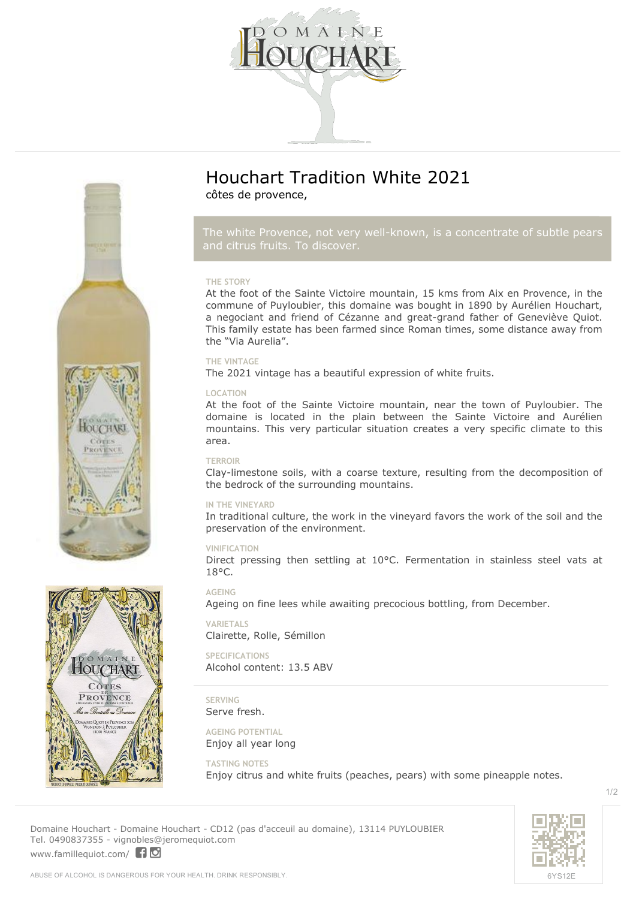



*The white Provence, not very well-known, is a concentrate of subtle pears*

#### **THE STORY**

At the foot of the Sainte Victoire mountain, 15 kms from Aix en Provence, in the commune of Puyloubier, this domaine was bought in 1890 by Aurélien Houchart, a negociant and friend of Cézanne and great-grand father of Geneviève Quiot. This family estate has been farmed since Roman times, some distance away from the "Via Aurelia".

#### **THE VINTAGE**

The 2021 vintage has a beautiful expression of white fruits.

#### **LOCATION**

At the foot of the Sainte Victoire mountain, near the town of Puyloubier. The domaine is located in the plain between the Sainte Victoire and Aurélien mountains. This very particular situation creates a very specific climate to this area.

#### **TERROIR**

Clay-limestone soils, with a coarse texture, resulting from the decomposition of the bedrock of the surrounding mountains.

#### **IN THE VINEYARD**

In traditional culture, the work in the vineyard favors the work of the soil and the preservation of the environment.

#### **VINIFICATION**

Direct pressing then settling at 10°C. Fermentation in stainless steel vats at 18°C.

#### **AGEING**

Ageing on fine lees while awaiting precocious bottling, from December.

**VARIETALS** Clairette, Rolle, Sémillon

**SPECIFICATIONS** Alcohol content: 13.5 ABV

**SERVING** Serve fresh.

**AGEING POTENTIAL** Enjoy all year long

**TASTING NOTES**

Enjoy citrus and white fruits (peaches, pears) with some pineapple notes.



1/2